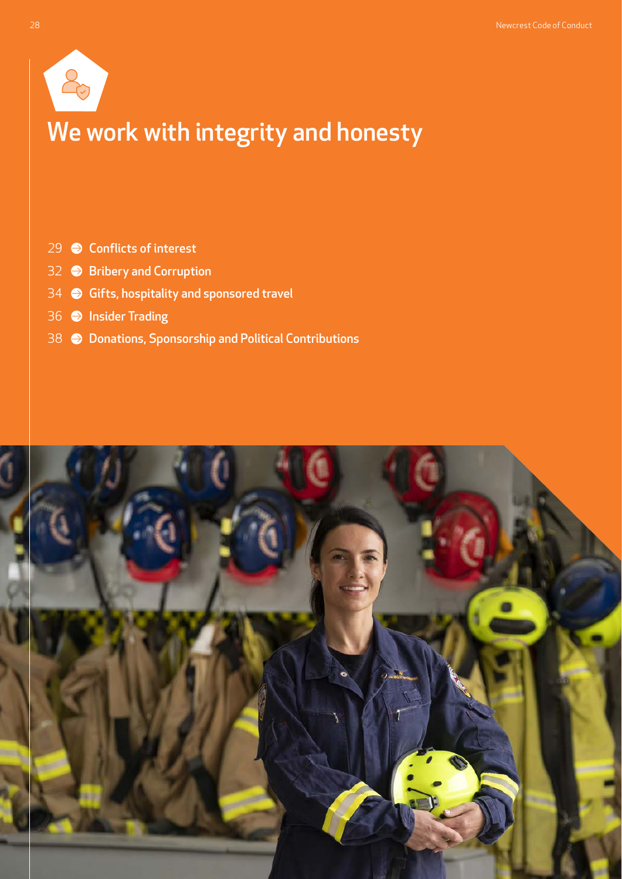

# We work with integrity and honesty

- [Conflicts of interest](#page-1-0)
- **[Bribery and Corruption](#page-4-0)**
- [Gifts, hospitality and sponsored travel](#page-6-0)
- **O** [Insider Trading](#page-8-0)
- [Donations, Sponsorship and Political Contributions](#page-10-0)

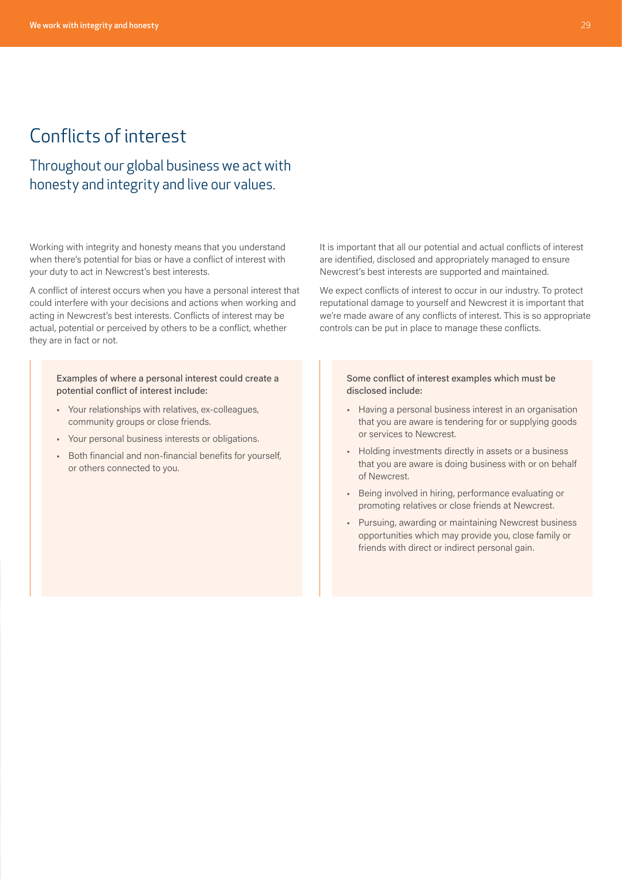## <span id="page-1-0"></span>Conflicts of interest

### Throughout our global business we act with honesty and integrity and live our values.

Working with integrity and honesty means that you understand when there's potential for bias or have a conflict of interest with your duty to act in Newcrest's best interests.

A conflict of interest occurs when you have a personal interest that could interfere with your decisions and actions when working and acting in Newcrest's best interests. Conflicts of interest may be actual, potential or perceived by others to be a conflict, whether they are in fact or not.

Examples of where a personal interest could create a potential conflict of interest include:

- Your relationships with relatives, ex-colleagues, community groups or close friends.
- Your personal business interests or obligations.
- Both financial and non-financial benefits for yourself, or others connected to you.

It is important that all our potential and actual conflicts of interest are identified, disclosed and appropriately managed to ensure Newcrest's best interests are supported and maintained.

We expect conflicts of interest to occur in our industry. To protect reputational damage to yourself and Newcrest it is important that we're made aware of any conflicts of interest. This is so appropriate controls can be put in place to manage these conflicts.

> Some conflict of interest examples which must be disclosed include:

- Having a personal business interest in an organisation that you are aware is tendering for or supplying goods or services to Newcrest.
- Holding investments directly in assets or a business that you are aware is doing business with or on behalf of Newcrest.
- Being involved in hiring, performance evaluating or promoting relatives or close friends at Newcrest.
- Pursuing, awarding or maintaining Newcrest business opportunities which may provide you, close family or friends with direct or indirect personal gain.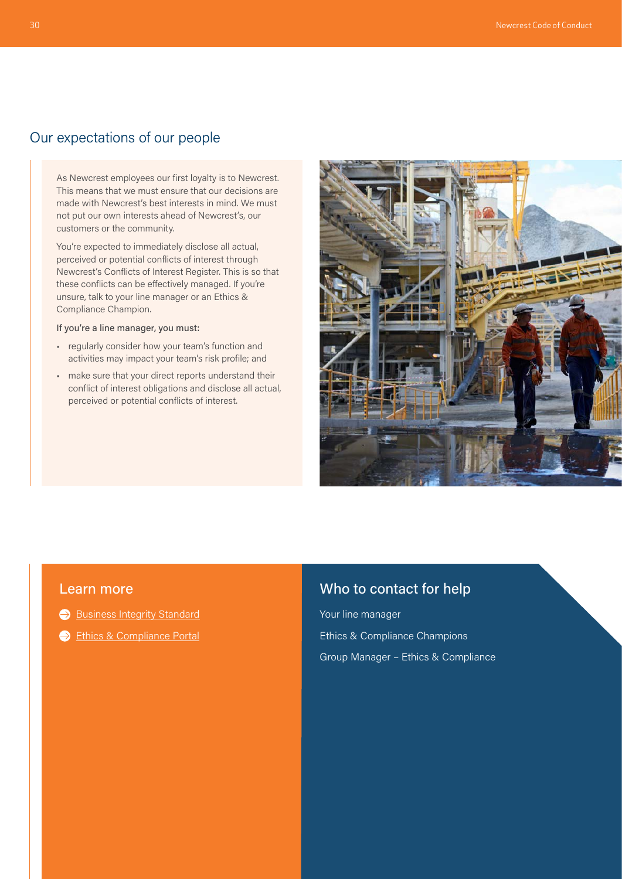### Our expectations of our people

As Newcrest employees our first loyalty is to Newcrest. This means that we must ensure that our decisions are made with Newcrest's best interests in mind. We must not put our own interests ahead of Newcrest's, our customers or the community.

You're expected to immediately disclose all actual, perceived or potential conflicts of interest through Newcrest's Conflicts of Interest Register. This is so that these conflicts can be effectively managed. If you're unsure, talk to your line manager or an Ethics & Compliance Champion.

#### If you're a line manager, you must:

- regularly consider how your team's function and activities may impact your team's risk profile; and
- make sure that your direct reports understand their conflict of interest obligations and disclose all actual, perceived or potential conflicts of interest.



#### Learn more

- [Business Integrity Standard](https://newcrestmining.sharepoint.com/sites/portal/Documents/Legal%20Risk%20&%20Compliance/Business%20Integrity%20Group%20Standard.pdf)
- [Ethics & Compliance Portal](https://newcrestmining.sharepoint.com/sites/portal/workplace/lrc/ethics-compliance?OR=Teams-HL&CT=1627960440207)

#### Who to contact for help

Your line manager Ethics & Compliance Champions Group Manager – Ethics & Compliance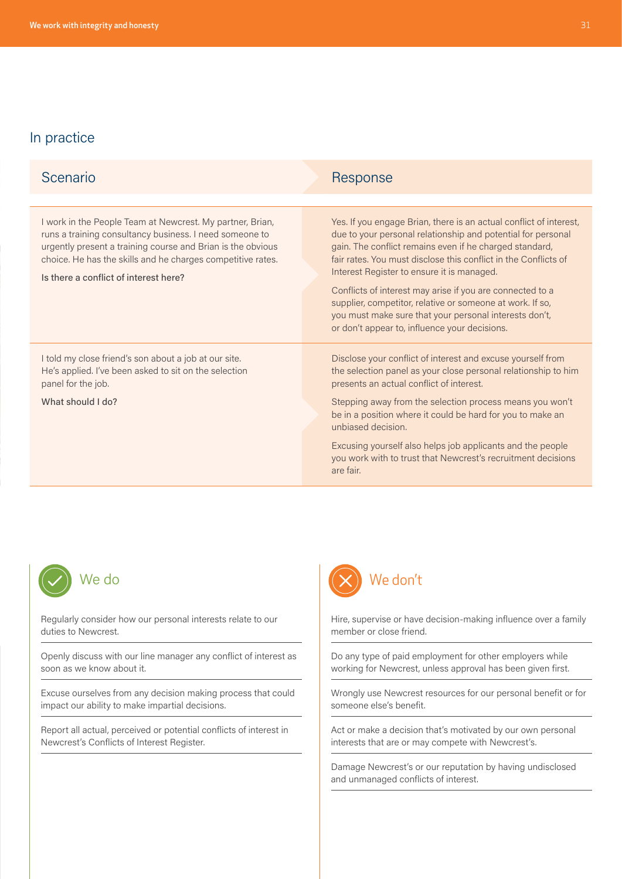| Scenario                                                                                                                                                                                                                                                                                    | Response                                                                                                                                                                                                                                                                                                                                                                                                                                                                                                                                            |
|---------------------------------------------------------------------------------------------------------------------------------------------------------------------------------------------------------------------------------------------------------------------------------------------|-----------------------------------------------------------------------------------------------------------------------------------------------------------------------------------------------------------------------------------------------------------------------------------------------------------------------------------------------------------------------------------------------------------------------------------------------------------------------------------------------------------------------------------------------------|
|                                                                                                                                                                                                                                                                                             |                                                                                                                                                                                                                                                                                                                                                                                                                                                                                                                                                     |
| I work in the People Team at Newcrest. My partner, Brian,<br>runs a training consultancy business. I need someone to<br>urgently present a training course and Brian is the obvious<br>choice. He has the skills and he charges competitive rates.<br>Is there a conflict of interest here? | Yes. If you engage Brian, there is an actual conflict of interest,<br>due to your personal relationship and potential for personal<br>gain. The conflict remains even if he charged standard,<br>fair rates. You must disclose this conflict in the Conflicts of<br>Interest Register to ensure it is managed.<br>Conflicts of interest may arise if you are connected to a<br>supplier, competitor, relative or someone at work. If so,<br>you must make sure that your personal interests don't,<br>or don't appear to, influence your decisions. |
| I told my close friend's son about a job at our site.<br>He's applied. I've been asked to sit on the selection<br>panel for the job.<br>What should I do?                                                                                                                                   | Disclose your conflict of interest and excuse yourself from<br>the selection panel as your close personal relationship to him<br>presents an actual conflict of interest.<br>Stepping away from the selection process means you won't<br>be in a position where it could be hard for you to make an<br>unbiased decision.<br>Excusing yourself also helps job applicants and the people<br>you work with to trust that Newcrest's recruitment decisions<br>are fair.                                                                                |



Regularly consider how our personal interests relate to our duties to Newcrest.

Openly discuss with our line manager any conflict of interest as soon as we know about it.

Excuse ourselves from any decision making process that could impact our ability to make impartial decisions.

Report all actual, perceived or potential conflicts of interest in Newcrest's Conflicts of Interest Register.



Hire, supervise or have decision-making influence over a family member or close friend.

Do any type of paid employment for other employers while working for Newcrest, unless approval has been given first.

Wrongly use Newcrest resources for our personal benefit or for someone else's benefit.

Act or make a decision that's motivated by our own personal interests that are or may compete with Newcrest's.

Damage Newcrest's or our reputation by having undisclosed and unmanaged conflicts of interest.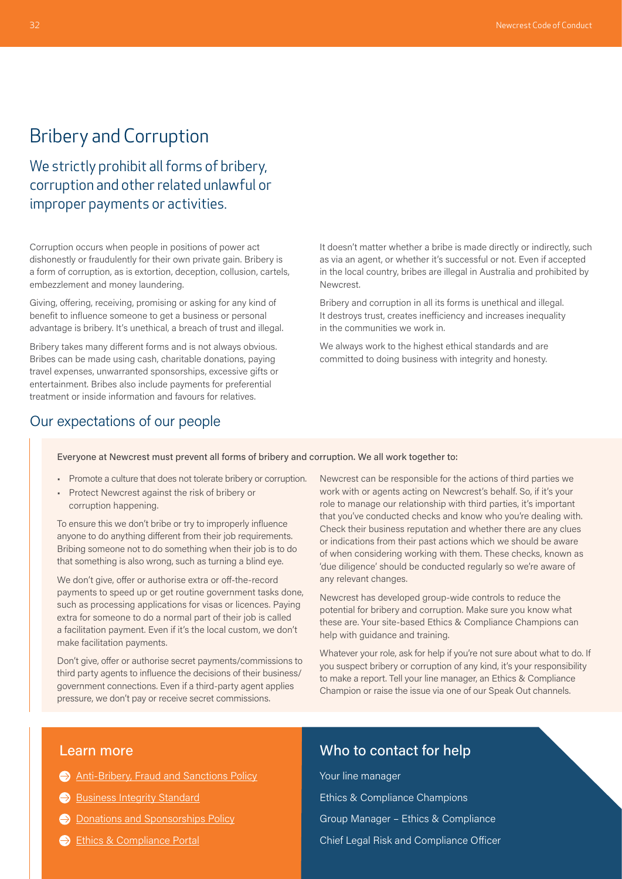### <span id="page-4-0"></span>Bribery and Corruption

We strictly prohibit all forms of bribery, corruption and other related unlawful or improper payments or activities.

Corruption occurs when people in positions of power act dishonestly or fraudulently for their own private gain. Bribery is a form of corruption, as is extortion, deception, collusion, cartels, embezzlement and money laundering.

Giving, offering, receiving, promising or asking for any kind of benefit to influence someone to get a business or personal advantage is bribery. It's unethical, a breach of trust and illegal.

Bribery takes many different forms and is not always obvious. Bribes can be made using cash, charitable donations, paying travel expenses, unwarranted sponsorships, excessive gifts or entertainment. Bribes also include payments for preferential treatment or inside information and favours for relatives.

#### It doesn't matter whether a bribe is made directly or indirectly, such as via an agent, or whether it's successful or not. Even if accepted in the local country, bribes are illegal in Australia and prohibited by Newcrest.

Bribery and corruption in all its forms is unethical and illegal. It destroys trust, creates inefficiency and increases inequality in the communities we work in.

We always work to the highest ethical standards and are committed to doing business with integrity and honesty.

#### Our expectations of our people

#### Everyone at Newcrest must prevent all forms of bribery and corruption. We all work together to:

- Promote a culture that does not tolerate bribery or corruption.
- Protect Newcrest against the risk of bribery or corruption happening.

To ensure this we don't bribe or try to improperly influence anyone to do anything different from their job requirements. Bribing someone not to do something when their job is to do that something is also wrong, such as turning a blind eye.

We don't give, offer or authorise extra or off-the-record payments to speed up or get routine government tasks done, such as processing applications for visas or licences. Paying extra for someone to do a normal part of their job is called a facilitation payment. Even if it's the local custom, we don't make facilitation payments.

Don't give, offer or authorise secret payments/commissions to third party agents to influence the decisions of their business/ government connections. Even if a third-party agent applies pressure, we don't pay or receive secret commissions.

Newcrest can be responsible for the actions of third parties we work with or agents acting on Newcrest's behalf. So, if it's your role to manage our relationship with third parties, it's important that you've conducted checks and know who you're dealing with. Check their business reputation and whether there are any clues or indications from their past actions which we should be aware of when considering working with them. These checks, known as 'due diligence' should be conducted regularly so we're aware of any relevant changes.

Newcrest has developed group-wide controls to reduce the potential for bribery and corruption. Make sure you know what these are. Your site-based Ethics & Compliance Champions can help with guidance and training.

Whatever your role, ask for help if you're not sure about what to do. If you suspect bribery or corruption of any kind, it's your responsibility to make a report. Tell your line manager, an Ethics & Compliance Champion or raise the issue via one of our Speak Out channels.

#### Learn more

- [Anti-Bribery, Fraud and Sanctions Policy](https://www.newcrest.com/sites/default/files/2021-12/Anti-Bribery%2C%20Fraud%20and%20Sanctions%20Policy.pdf)
- [Business Integrity Standard](https://newcrestmining.sharepoint.com/sites/portal/Documents/Legal%20Risk%20&%20Compliance/Business%20Integrity%20Group%20Standard.pdf)
- $\ominus$  [Donations and Sponsorships Policy](https://newcrestmining.sharepoint.com/sites/portal/Documents/Social%20Performance/Donations%20and%20Sponsorships%20Policy.pdf)
- [Ethics & Compliance Portal](https://newcrestmining.sharepoint.com/sites/portal/workplace/lrc/ethics-compliance?OR=Teams-HL&CT=1627960440207)

#### Who to contact for help

Your line manager Ethics & Compliance Champions Group Manager – Ethics & Compliance Chief Legal Risk and Compliance Officer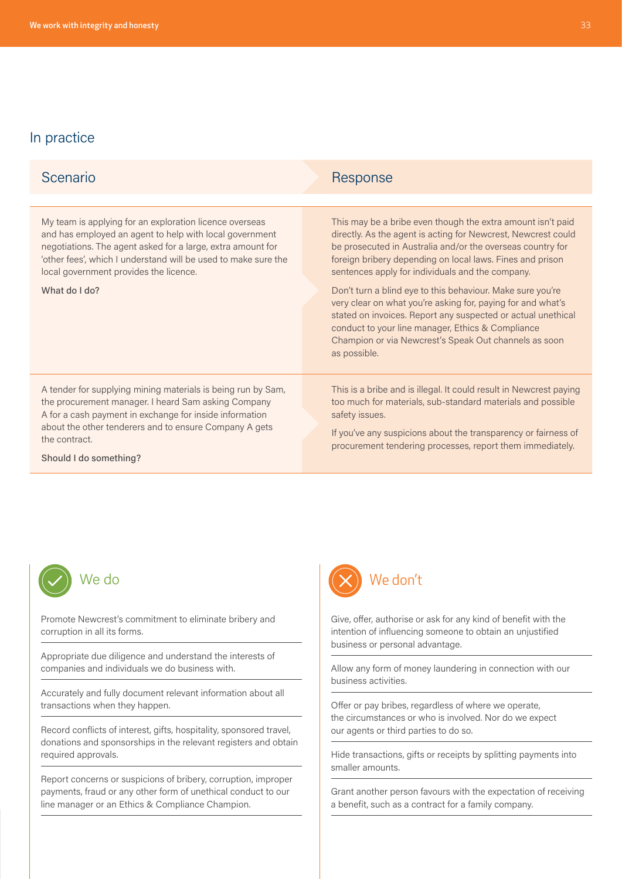| Scenario                                                                                                                                                                                                                                                                                                       | Response                                                                                                                                                                                                                                                                                                                                                                                                                                                                                                                                                                                                                               |
|----------------------------------------------------------------------------------------------------------------------------------------------------------------------------------------------------------------------------------------------------------------------------------------------------------------|----------------------------------------------------------------------------------------------------------------------------------------------------------------------------------------------------------------------------------------------------------------------------------------------------------------------------------------------------------------------------------------------------------------------------------------------------------------------------------------------------------------------------------------------------------------------------------------------------------------------------------------|
|                                                                                                                                                                                                                                                                                                                |                                                                                                                                                                                                                                                                                                                                                                                                                                                                                                                                                                                                                                        |
| My team is applying for an exploration licence overseas<br>and has employed an agent to help with local government<br>negotiations. The agent asked for a large, extra amount for<br>'other fees', which I understand will be used to make sure the<br>local government provides the licence.<br>What do I do? | This may be a bribe even though the extra amount isn't paid<br>directly. As the agent is acting for Newcrest, Newcrest could<br>be prosecuted in Australia and/or the overseas country for<br>foreign bribery depending on local laws. Fines and prison<br>sentences apply for individuals and the company.<br>Don't turn a blind eye to this behaviour. Make sure you're<br>very clear on what you're asking for, paying for and what's<br>stated on invoices. Report any suspected or actual unethical<br>conduct to your line manager, Ethics & Compliance<br>Champion or via Newcrest's Speak Out channels as soon<br>as possible. |
| A tender for supplying mining materials is being run by Sam,<br>the procurement manager. I heard Sam asking Company<br>A for a cash payment in exchange for inside information<br>about the other tenderers and to ensure Company A gets<br>the contract.<br>Should I do something?                            | This is a bribe and is illegal. It could result in Newcrest paying<br>too much for materials, sub-standard materials and possible<br>safety issues.<br>If you've any suspicions about the transparency or fairness of<br>procurement tendering processes, report them immediately.                                                                                                                                                                                                                                                                                                                                                     |



Promote Newcrest's commitment to eliminate bribery and corruption in all its forms.

Appropriate due diligence and understand the interests of companies and individuals we do business with.

Accurately and fully document relevant information about all transactions when they happen.

Record conflicts of interest, gifts, hospitality, sponsored travel, donations and sponsorships in the relevant registers and obtain required approvals.

Report concerns or suspicions of bribery, corruption, improper payments, fraud or any other form of unethical conduct to our line manager or an Ethics & Compliance Champion.



Give, offer, authorise or ask for any kind of benefit with the intention of influencing someone to obtain an unjustified business or personal advantage.

Allow any form of money laundering in connection with our business activities.

Offer or pay bribes, regardless of where we operate, the circumstances or who is involved. Nor do we expect our agents or third parties to do so.

Hide transactions, gifts or receipts by splitting payments into smaller amounts.

Grant another person favours with the expectation of receiving a benefit, such as a contract for a family company.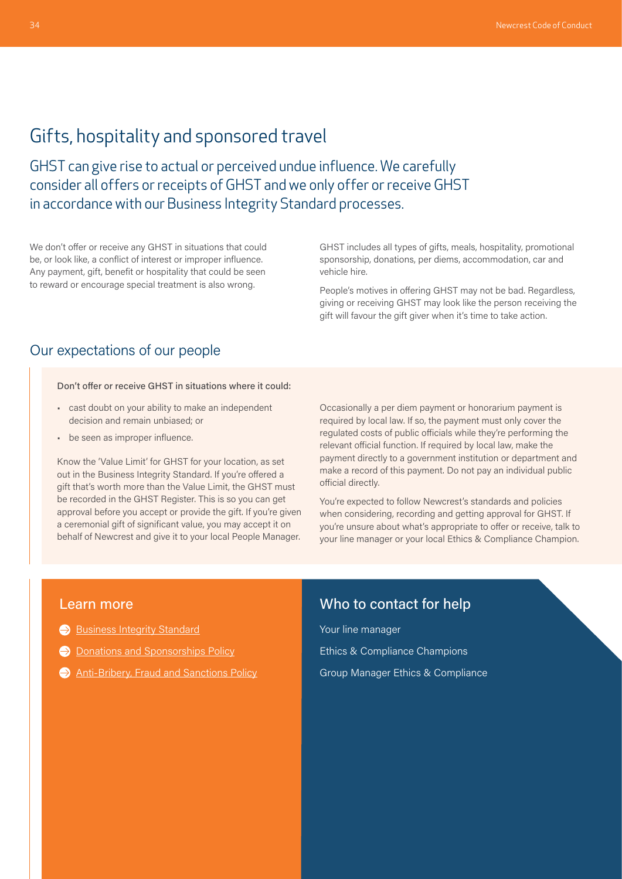### <span id="page-6-0"></span>Gifts, hospitality and sponsored travel

GHST can give rise to actual or perceived undue influence. We carefully consider all offers or receipts of GHST and we only offer or receive GHST in accordance with our Business Integrity Standard processes.

We don't offer or receive any GHST in situations that could be, or look like, a conflict of interest or improper influence. Any payment, gift, benefit or hospitality that could be seen to reward or encourage special treatment is also wrong.

GHST includes all types of gifts, meals, hospitality, promotional sponsorship, donations, per diems, accommodation, car and vehicle hire.

People's motives in offering GHST may not be bad. Regardless, giving or receiving GHST may look like the person receiving the gift will favour the gift giver when it's time to take action.

#### Our expectations of our people

Don't offer or receive GHST in situations where it could:

- cast doubt on your ability to make an independent decision and remain unbiased; or
- be seen as improper influence.

Know the 'Value Limit' for GHST for your location, as set out in the Business Integrity Standard. If you're offered a gift that's worth more than the Value Limit, the GHST must be recorded in the GHST Register. This is so you can get approval before you accept or provide the gift. If you're given a ceremonial gift of significant value, you may accept it on behalf of Newcrest and give it to your local People Manager.

Occasionally a per diem payment or honorarium payment is required by local law. If so, the payment must only cover the regulated costs of public officials while they're performing the relevant official function. If required by local law, make the payment directly to a government institution or department and make a record of this payment. Do not pay an individual public official directly.

You're expected to follow Newcrest's standards and policies when considering, recording and getting approval for GHST. If you're unsure about what's appropriate to offer or receive, talk to your line manager or your local Ethics & Compliance Champion.

#### Learn more

- [Business Integrity Standard](https://newcrestmining.sharepoint.com/sites/portal/Documents/Legal%20Risk%20&%20Compliance/Business%20Integrity%20Group%20Standard.pdf)
- **[Donations and Sponsorships Policy](https://newcrestmining.sharepoint.com/sites/portal/Documents/Social%20Performance/Donations%20and%20Sponsorships%20Policy.pdf)**
- [Anti-Bribery, Fraud and Sanctions Policy](https://www.newcrest.com/sites/default/files/2021-12/Anti-Bribery%2C%20Fraud%20and%20Sanctions%20Policy.pdf)

#### Who to contact for help

Your line manager Ethics & Compliance Champions Group Manager Ethics & Compliance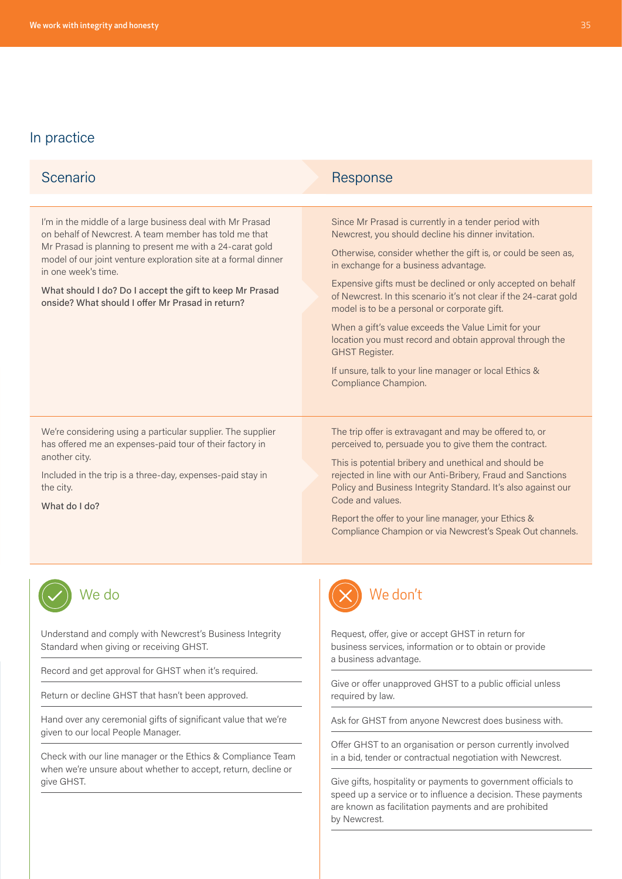| Scenario                                                                                                                                                                                                                                                                                                                                                                                | Response                                                                                                                                                                                                                                                                                                                                                                                                                                                                                                                                                                                                                                 |
|-----------------------------------------------------------------------------------------------------------------------------------------------------------------------------------------------------------------------------------------------------------------------------------------------------------------------------------------------------------------------------------------|------------------------------------------------------------------------------------------------------------------------------------------------------------------------------------------------------------------------------------------------------------------------------------------------------------------------------------------------------------------------------------------------------------------------------------------------------------------------------------------------------------------------------------------------------------------------------------------------------------------------------------------|
| I'm in the middle of a large business deal with Mr Prasad<br>on behalf of Newcrest. A team member has told me that<br>Mr Prasad is planning to present me with a 24-carat gold<br>model of our joint venture exploration site at a formal dinner<br>in one week's time.<br>What should I do? Do I accept the gift to keep Mr Prasad<br>onside? What should I offer Mr Prasad in return? | Since Mr Prasad is currently in a tender period with<br>Newcrest, you should decline his dinner invitation.<br>Otherwise, consider whether the gift is, or could be seen as,<br>in exchange for a business advantage.<br>Expensive gifts must be declined or only accepted on behalf<br>of Newcrest. In this scenario it's not clear if the 24-carat gold<br>model is to be a personal or corporate gift.<br>When a gift's value exceeds the Value Limit for your<br>location you must record and obtain approval through the<br><b>GHST Register.</b><br>If unsure, talk to your line manager or local Ethics &<br>Compliance Champion. |
| We're considering using a particular supplier. The supplier<br>has offered me an expenses-paid tour of their factory in<br>another city.<br>Included in the trip is a three-day, expenses-paid stay in<br>the city.<br>What do I do?                                                                                                                                                    | The trip offer is extravagant and may be offered to, or<br>perceived to, persuade you to give them the contract.<br>This is potential bribery and unethical and should be<br>rejected in line with our Anti-Bribery, Fraud and Sanctions<br>Policy and Business Integrity Standard. It's also against our<br>Code and values.<br>Report the offer to your line manager, your Ethics &<br>Compliance Champion or via Newcrest's Speak Out channels.                                                                                                                                                                                       |
|                                                                                                                                                                                                                                                                                                                                                                                         | Ne don't                                                                                                                                                                                                                                                                                                                                                                                                                                                                                                                                                                                                                                 |
| Understand and comply with Newcrest's Business Integrity<br>Standard when giving or receiving GHST.                                                                                                                                                                                                                                                                                     | Request, offer, give or accept GHST in return for<br>business services, information or to obtain or provide<br>a business advantage.                                                                                                                                                                                                                                                                                                                                                                                                                                                                                                     |
| Record and get approval for GHST when it's required.                                                                                                                                                                                                                                                                                                                                    | Give or offer unapproved GHST to a public official unless<br>required by law.                                                                                                                                                                                                                                                                                                                                                                                                                                                                                                                                                            |
| Return or decline GHST that hasn't been approved.                                                                                                                                                                                                                                                                                                                                       |                                                                                                                                                                                                                                                                                                                                                                                                                                                                                                                                                                                                                                          |
| Hand over any ceremonial gifts of significant value that we're<br>given to our local People Manager.                                                                                                                                                                                                                                                                                    | Ask for GHST from anyone Newcrest does business with.                                                                                                                                                                                                                                                                                                                                                                                                                                                                                                                                                                                    |
| Check with our line manager or the Ethics & Compliance Team<br>when we're unsure about whether to accept, return, decline or<br>give GHST.                                                                                                                                                                                                                                              | Offer GHST to an organisation or person currently involved<br>in a bid, tender or contractual negotiation with Newcrest.                                                                                                                                                                                                                                                                                                                                                                                                                                                                                                                 |
|                                                                                                                                                                                                                                                                                                                                                                                         | Give gifts, hospitality or payments to government officials to                                                                                                                                                                                                                                                                                                                                                                                                                                                                                                                                                                           |

speed up a service or to influence a decision. These payments

are known as facilitation payments and are prohibited

by Newcrest.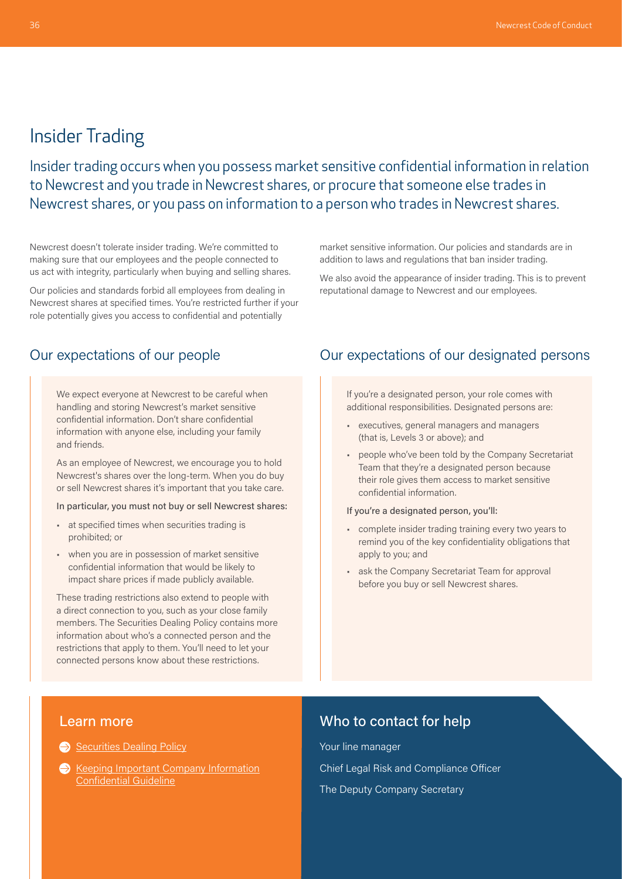### <span id="page-8-0"></span>Insider Trading

Insider trading occurs when you possess market sensitive confidential information in relation to Newcrest and you trade in Newcrest shares, or procure that someone else trades in Newcrest shares, or you pass on information to a person who trades in Newcrest shares.

Newcrest doesn't tolerate insider trading. We're committed to making sure that our employees and the people connected to us act with integrity, particularly when buying and selling shares.

Our policies and standards forbid all employees from dealing in Newcrest shares at specified times. You're restricted further if your role potentially gives you access to confidential and potentially

#### Our expectations of our people

We expect everyone at Newcrest to be careful when handling and storing Newcrest's market sensitive confidential information. Don't share confidential information with anyone else, including your family and friends.

As an employee of Newcrest, we encourage you to hold Newcrest's shares over the long-term. When you do buy or sell Newcrest shares it's important that you take care.

#### In particular, you must not buy or sell Newcrest shares:

- at specified times when securities trading is prohibited; or
- when you are in possession of market sensitive confidential information that would be likely to impact share prices if made publicly available.

These trading restrictions also extend to people with a direct connection to you, such as your close family members. The Securities Dealing Policy contains more information about who's a connected person and the restrictions that apply to them. You'll need to let your connected persons know about these restrictions.

market sensitive information. Our policies and standards are in addition to laws and regulations that ban insider trading.

We also avoid the appearance of insider trading. This is to prevent reputational damage to Newcrest and our employees.

#### Our expectations of our designated persons

If you're a designated person, your role comes with additional responsibilities. Designated persons are:

- executives, general managers and managers (that is, Levels 3 or above); and
- people who've been told by the Company Secretariat Team that they're a designated person because their role gives them access to market sensitive confidential information.
- If you're a designated person, you'll:
- complete insider trading training every two years to remind you of the key confidentiality obligations that apply to you; and
- ask the Company Secretariat Team for approval before you buy or sell Newcrest shares.

#### Learn more

[Securities Dealing Policy](https://www.newcrest.com/sites/default/files/2020-05/160812_Newcrest%20Securities%20Dealing%20Policy.pdf)

**Keeping Important Company Information** [Confidential Guideline](https://newcrestmining.sharepoint.com/sites/portal/Documents/Legal%20Risk%20&%20Compliance/Keeping%20Important%20Company%20Information%20Confidential%20Guideline.pdf)

### Who to contact for help

Your line manager Chief Legal Risk and Compliance Officer The Deputy Company Secretary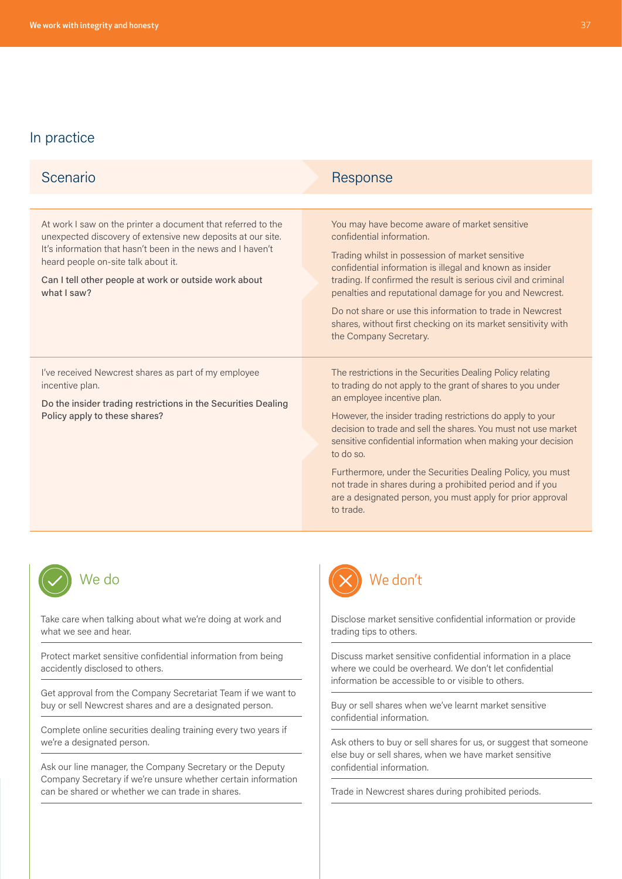| Scenario                                                                                                                                                                                                                                                                                                  | Response                                                                                                                                                                                                                                                                                                                                                                                                                                                                                                                                                                    |
|-----------------------------------------------------------------------------------------------------------------------------------------------------------------------------------------------------------------------------------------------------------------------------------------------------------|-----------------------------------------------------------------------------------------------------------------------------------------------------------------------------------------------------------------------------------------------------------------------------------------------------------------------------------------------------------------------------------------------------------------------------------------------------------------------------------------------------------------------------------------------------------------------------|
|                                                                                                                                                                                                                                                                                                           |                                                                                                                                                                                                                                                                                                                                                                                                                                                                                                                                                                             |
| At work I saw on the printer a document that referred to the<br>unexpected discovery of extensive new deposits at our site.<br>It's information that hasn't been in the news and I haven't<br>heard people on-site talk about it.<br>Can I tell other people at work or outside work about<br>what I saw? | You may have become aware of market sensitive<br>confidential information.<br>Trading whilst in possession of market sensitive<br>confidential information is illegal and known as insider<br>trading. If confirmed the result is serious civil and criminal<br>penalties and reputational damage for you and Newcrest.<br>Do not share or use this information to trade in Newcrest<br>shares, without first checking on its market sensitivity with<br>the Company Secretary.                                                                                             |
| I've received Newcrest shares as part of my employee<br>incentive plan.<br>Do the insider trading restrictions in the Securities Dealing<br>Policy apply to these shares?                                                                                                                                 | The restrictions in the Securities Dealing Policy relating<br>to trading do not apply to the grant of shares to you under<br>an employee incentive plan.<br>However, the insider trading restrictions do apply to your<br>decision to trade and sell the shares. You must not use market<br>sensitive confidential information when making your decision<br>to do so.<br>Furthermore, under the Securities Dealing Policy, you must<br>not trade in shares during a prohibited period and if you<br>are a designated person, you must apply for prior approval<br>to trade. |



Take care when talking about what we're doing at work and what we see and hear.

Protect market sensitive confidential information from being accidently disclosed to others.

Get approval from the Company Secretariat Team if we want to buy or sell Newcrest shares and are a designated person.

Complete online securities dealing training every two years if we're a designated person.

Ask our line manager, the Company Secretary or the Deputy Company Secretary if we're unsure whether certain information can be shared or whether we can trade in shares.



Disclose market sensitive confidential information or provide trading tips to others.

Discuss market sensitive confidential information in a place where we could be overheard. We don't let confidential information be accessible to or visible to others.

Buy or sell shares when we've learnt market sensitive confidential information.

Ask others to buy or sell shares for us, or suggest that someone else buy or sell shares, when we have market sensitive confidential information.

Trade in Newcrest shares during prohibited periods.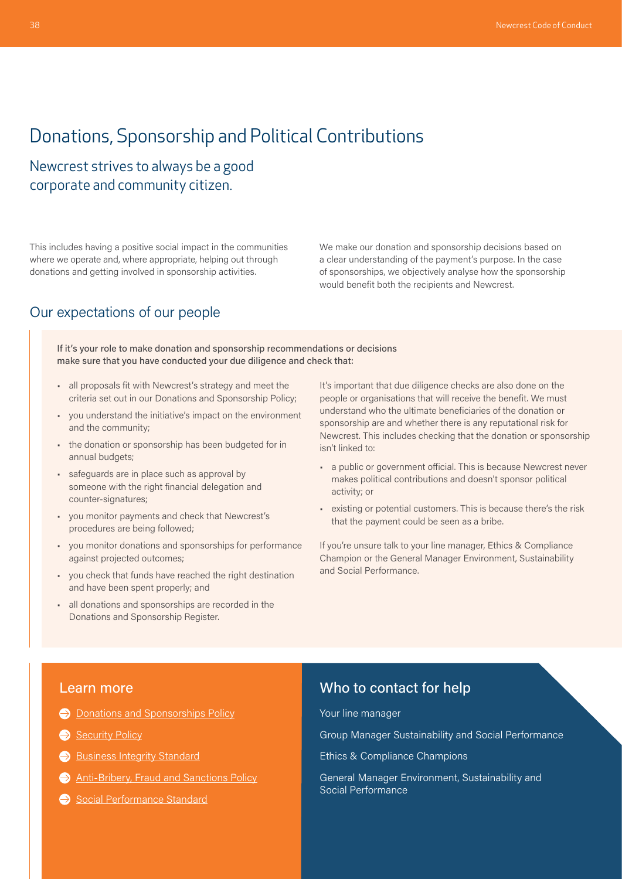## <span id="page-10-0"></span>Donations, Sponsorship and Political Contributions

Newcrest strives to always be a good corporate and community citizen.

This includes having a positive social impact in the communities where we operate and, where appropriate, helping out through donations and getting involved in sponsorship activities.

#### Our expectations of our people

If it's your role to make donation and sponsorship recommendations or decisions make sure that you have conducted your due diligence and check that:

- all proposals fit with Newcrest's strategy and meet the criteria set out in our Donations and Sponsorship Policy;
- you understand the initiative's impact on the environment and the community;
- the donation or sponsorship has been budgeted for in annual budgets;
- safeguards are in place such as approval by someone with the right financial delegation and counter-signatures;
- you monitor payments and check that Newcrest's procedures are being followed;
- you monitor donations and sponsorships for performance against projected outcomes;
- you check that funds have reached the right destination and have been spent properly; and
- all donations and sponsorships are recorded in the Donations and Sponsorship Register.

We make our donation and sponsorship decisions based on a clear understanding of the payment's purpose. In the case of sponsorships, we objectively analyse how the sponsorship would benefit both the recipients and Newcrest.

It's important that due diligence checks are also done on the people or organisations that will receive the benefit. We must understand who the ultimate beneficiaries of the donation or sponsorship are and whether there is any reputational risk for Newcrest. This includes checking that the donation or sponsorship isn't linked to:

- a public or government official. This is because Newcrest never makes political contributions and doesn't sponsor political activity; or
- existing or potential customers. This is because there's the risk that the payment could be seen as a bribe.

If you're unsure talk to your line manager, Ethics & Compliance Champion or the General Manager Environment, Sustainability and Social Performance.

#### Learn more

- **[Donations and Sponsorships Policy](https://newcrestmining.sharepoint.com/sites/portal/Documents/Social%20Performance/Donations%20and%20Sponsorships%20Policy.pdf)**
- [Security Policy](https://www.newcrest.com/sites/default/files/2019-10/1306_Newcrest%20Security%20Policy.pdf)
- [Business Integrity Standard](https://newcrestmining.sharepoint.com/sites/portal/Documents/Legal%20Risk%20&%20Compliance/Business%20Integrity%20Group%20Standard.pdf)
- [Anti-Bribery, Fraud and Sanctions Policy](https://www.newcrest.com/sites/default/files/2021-12/Anti-Bribery%2C%20Fraud%20and%20Sanctions%20Policy.pdf)
- [Social Performance Standard](https://newcrestmining.sharepoint.com/sites/portal/Documents/Social%20Performance/PER-SP-01%20Social%20Performance%20Standard.pdf)

#### Who to contact for help

Your line manager

Group Manager Sustainability and Social Performance

Ethics & Compliance Champions

General Manager Environment, Sustainability and Social Performance